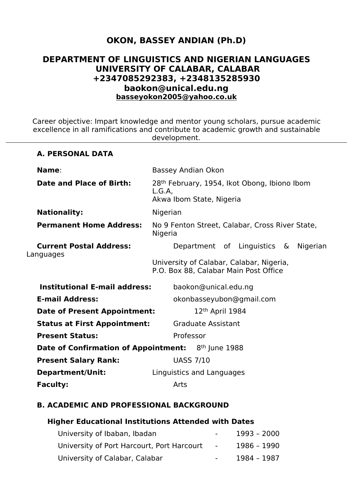# **OKON, BASSEY ANDIAN (Ph.D)**

# **DEPARTMENT OF LINGUISTICS AND NIGERIAN LANGUAGES UNIVERSITY OF CALABAR, CALABAR +2347085292383, +2348135285930 baokon@unical.edu.ng [basseyokon2005@yahoo.co.uk](mailto:basseyokon2005@yahoo.co.uk)**

Career objective: Impart knowledge and mentor young scholars, pursue academic excellence in all ramifications and contribute to academic growth and sustainable development.

#### **A. PERSONAL DATA**

| Name:                                                                 |          | Bassey Andian Okon                                                                                                        |  |                                                 |  |  |  |  |
|-----------------------------------------------------------------------|----------|---------------------------------------------------------------------------------------------------------------------------|--|-------------------------------------------------|--|--|--|--|
| Date and Place of Birth:                                              | L.G.A,   | 28 <sup>th</sup> February, 1954, Ikot Obong, Ibiono Ibom<br>Akwa Ibom State, Nigeria                                      |  |                                                 |  |  |  |  |
| <b>Nationality:</b>                                                   | Nigerian |                                                                                                                           |  |                                                 |  |  |  |  |
| <b>Permanent Home Address:</b>                                        | Nigeria  |                                                                                                                           |  | No 9 Fenton Street, Calabar, Cross River State, |  |  |  |  |
| <b>Current Postal Address:</b><br>Languages                           |          | Department of Linguistics & Nigerian<br>University of Calabar, Calabar, Nigeria,<br>P.O. Box 88, Calabar Main Post Office |  |                                                 |  |  |  |  |
| <b>Institutional E-mail address:</b>                                  |          | baokon@unical.edu.ng                                                                                                      |  |                                                 |  |  |  |  |
| <b>E-mail Address:</b>                                                |          |                                                                                                                           |  | okonbasseyubon@gmail.com                        |  |  |  |  |
| <b>Date of Present Appointment:</b>                                   |          | 12 <sup>th</sup> April 1984                                                                                               |  |                                                 |  |  |  |  |
| <b>Status at First Appointment:</b>                                   |          | <b>Graduate Assistant</b>                                                                                                 |  |                                                 |  |  |  |  |
| <b>Present Status:</b>                                                |          | Professor                                                                                                                 |  |                                                 |  |  |  |  |
| <b>Date of Confirmation of Appointment:</b> 8 <sup>th</sup> June 1988 |          |                                                                                                                           |  |                                                 |  |  |  |  |
| <b>Present Salary Rank:</b>                                           |          | <b>UASS 7/10</b>                                                                                                          |  |                                                 |  |  |  |  |
| <b>Department/Unit:</b>                                               |          | Linguistics and Languages                                                                                                 |  |                                                 |  |  |  |  |
| <b>Faculty:</b>                                                       |          | Arts                                                                                                                      |  |                                                 |  |  |  |  |
|                                                                       |          |                                                                                                                           |  |                                                 |  |  |  |  |

#### **B. ACADEMIC AND PROFESSIONAL BACKGROUND**

#### **Higher Educational Institutions Attended with Dates**

| University of Ibaban, Ibadan                 | $\sim$ 100 $\mu$ | 1993 – 2000 |
|----------------------------------------------|------------------|-------------|
| University of Port Harcourt, Port Harcourt - |                  | 1986 – 1990 |
| University of Calabar, Calabar               |                  | 1984 - 1987 |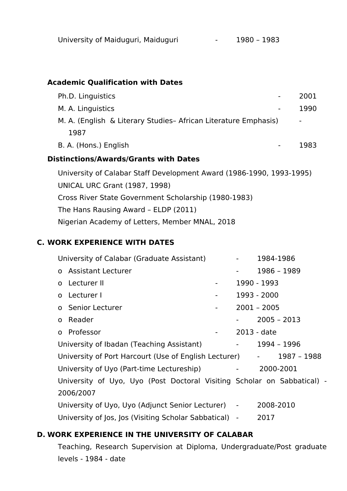# **Academic Qualification with Dates**

| Ph.D. Linguistics                                                    | 2001           |
|----------------------------------------------------------------------|----------------|
| M. A. Linguistics                                                    | 1990           |
| M. A. (English & Literary Studies- African Literature Emphasis)      | $\blacksquare$ |
| 1987                                                                 |                |
| B. A. (Hons.) English                                                | 1983           |
| <b>Distinctions/Awards/Grants with Dates</b>                         |                |
| University of Calabar Staff Development Award (1986-1990, 1993-1995) |                |
|                                                                      |                |
| <b>UNICAL URC Grant (1987, 1998)</b>                                 |                |
| Cross River State Government Scholarship (1980-1983)                 |                |
| The Hans Rausing Award - ELDP (2011)                                 |                |

Nigerian Academy of Letters, Member MNAL, 2018

# **C. WORK EXPERIENCE WITH DATES**

| University of Calabar (Graduate Assistant)                              |                                                   | 1984-1986     |
|-------------------------------------------------------------------------|---------------------------------------------------|---------------|
| o Assistant Lecturer                                                    |                                                   | 1986 - 1989   |
| o Lecturer II<br>$\blacksquare$                                         |                                                   | 1990 - 1993   |
| o Lecturer I<br>$\blacksquare$                                          |                                                   | 1993 - 2000   |
| o Senior Lecturer<br>$\blacksquare$                                     |                                                   | $2001 - 2005$ |
| o Reader                                                                |                                                   | $2005 - 2013$ |
| o Professor<br>$\blacksquare$                                           |                                                   | 2013 - date   |
| University of Ibadan (Teaching Assistant)                               | $\frac{1}{2}$ and $\frac{1}{2}$ and $\frac{1}{2}$ | 1994 - 1996   |
| University of Port Harcourt (Use of English Lecturer) -                 |                                                   | 1987 - 1988   |
| University of Uyo (Part-time Lectureship)                               | $\frac{1}{2}$ and $\frac{1}{2}$                   | 2000-2001     |
| University of Uyo, Uyo (Post Doctoral Visiting Scholar on Sabbatical) - |                                                   |               |
| 2006/2007                                                               |                                                   |               |
| University of Uyo, Uyo (Adjunct Senior Lecturer) -                      |                                                   | 2008-2010     |
| University of Jos, Jos (Visiting Scholar Sabbatical) -                  |                                                   | 2017          |

# **D. WORK EXPERIENCE IN THE UNIVERSITY OF CALABAR**

Teaching, Research Supervision at Diploma, Undergraduate/Post graduate levels - 1984 - date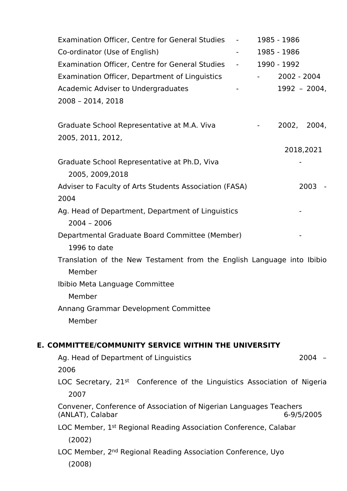| Examination Officer, Centre for General Studies                                        | $\blacksquare$ | 1985 - 1986 |              |  |
|----------------------------------------------------------------------------------------|----------------|-------------|--------------|--|
| Co-ordinator (Use of English)                                                          |                | 1985 - 1986 |              |  |
| <b>Examination Officer, Centre for General Studies</b>                                 | $\sim 100$     | 1990 - 1992 |              |  |
| Examination Officer, Department of Linguistics                                         |                | 2002 - 2004 |              |  |
| Academic Adviser to Undergraduates                                                     |                |             | 1992 - 2004, |  |
| 2008 - 2014, 2018                                                                      |                |             |              |  |
| Graduate School Representative at M.A. Viva                                            |                |             | 2002, 2004,  |  |
| 2005, 2011, 2012,                                                                      |                |             |              |  |
|                                                                                        |                |             | 2018,2021    |  |
| Graduate School Representative at Ph.D, Viva<br>2005, 2009, 2018                       |                |             |              |  |
| Adviser to Faculty of Arts Students Association (FASA)<br>2004                         |                |             | $2003 -$     |  |
| Ag. Head of Department, Department of Linguistics<br>$2004 - 2006$                     |                |             |              |  |
| Departmental Graduate Board Committee (Member)<br>1996 to date                         |                |             |              |  |
| Translation of the New Testament from the English Language into Ibibio                 |                |             |              |  |
| Member                                                                                 |                |             |              |  |
| Ibibio Meta Language Committee                                                         |                |             |              |  |
| Member                                                                                 |                |             |              |  |
| Annang Grammar Development Committee                                                   |                |             |              |  |
| Member                                                                                 |                |             |              |  |
| E. COMMITTEE/COMMUNITY SERVICE WITHIN THE UNIVERSITY                                   |                |             |              |  |
| Ag. Head of Department of Linguistics                                                  |                |             | $2004 -$     |  |
| 2006                                                                                   |                |             |              |  |
| LOC Secretary, 21 <sup>st</sup> Conference of the Linguistics Association of Nigeria   |                |             |              |  |
| 2007                                                                                   |                |             |              |  |
| Convener, Conference of Association of Nigerian Languages Teachers<br>(ANLAT), Calabar |                |             | 6-9/5/2005   |  |
| LOC Member, 1 <sup>st</sup> Regional Reading Association Conference, Calabar           |                |             |              |  |
| (2002)                                                                                 |                |             |              |  |
| LOC Member, 2 <sup>nd</sup> Regional Reading Association Conference, Uyo               |                |             |              |  |
| (2008)                                                                                 |                |             |              |  |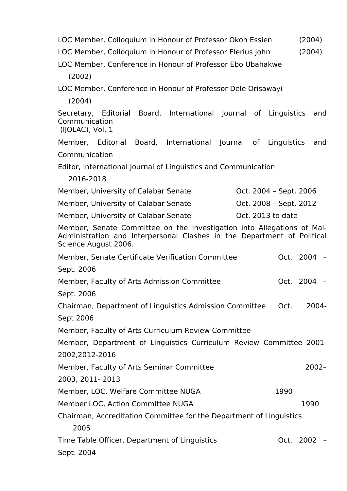| LOC Member, Colloquium in Honour of Professor Okon Essien                                                                                                                 | (2004)           |  |  |  |  |  |
|---------------------------------------------------------------------------------------------------------------------------------------------------------------------------|------------------|--|--|--|--|--|
| LOC Member, Colloquium in Honour of Professor Elerius John                                                                                                                | (2004)           |  |  |  |  |  |
| LOC Member, Conference in Honour of Professor Ebo Ubahakwe                                                                                                                |                  |  |  |  |  |  |
| (2002)                                                                                                                                                                    |                  |  |  |  |  |  |
| LOC Member, Conference in Honour of Professor Dele Orisawayi                                                                                                              |                  |  |  |  |  |  |
| (2004)                                                                                                                                                                    |                  |  |  |  |  |  |
| Secretary, Editorial<br>Board, International Journal of Linguistics<br>Communication<br>(IJOLAC), Vol. 1                                                                  | and              |  |  |  |  |  |
| Member, Editorial<br>International Journal of Linguistics<br>Board,                                                                                                       | and              |  |  |  |  |  |
| Communication                                                                                                                                                             |                  |  |  |  |  |  |
| Editor, International Journal of Linguistics and Communication                                                                                                            |                  |  |  |  |  |  |
| 2016-2018                                                                                                                                                                 |                  |  |  |  |  |  |
| Member, University of Calabar Senate<br>Oct. 2004 - Sept. 2006                                                                                                            |                  |  |  |  |  |  |
| Member, University of Calabar Senate<br>Oct. 2008 - Sept. 2012                                                                                                            |                  |  |  |  |  |  |
| Oct. 2013 to date<br>Member, University of Calabar Senate                                                                                                                 |                  |  |  |  |  |  |
| Member, Senate Committee on the Investigation into Allegations of Mal-<br>Administration and Interpersonal Clashes in the Department of Political<br>Science August 2006. |                  |  |  |  |  |  |
| Member, Senate Certificate Verification Committee                                                                                                                         | Oct. 2004 -      |  |  |  |  |  |
| Sept. 2006                                                                                                                                                                |                  |  |  |  |  |  |
| Member, Faculty of Arts Admission Committee                                                                                                                               | Oct. 2004 -      |  |  |  |  |  |
| Sept. 2006                                                                                                                                                                |                  |  |  |  |  |  |
| Chairman, Department of Linguistics Admission Committee                                                                                                                   | $2004 -$<br>Oct. |  |  |  |  |  |
| Sept 2006                                                                                                                                                                 |                  |  |  |  |  |  |
| Member, Faculty of Arts Curriculum Review Committee                                                                                                                       |                  |  |  |  |  |  |
| Member, Department of Linguistics Curriculum Review Committee 2001-                                                                                                       |                  |  |  |  |  |  |
| 2002, 2012-2016                                                                                                                                                           |                  |  |  |  |  |  |
| Member, Faculty of Arts Seminar Committee                                                                                                                                 | $2002 -$         |  |  |  |  |  |
| 2003, 2011-2013                                                                                                                                                           |                  |  |  |  |  |  |
| Member, LOC, Welfare Committee NUGA                                                                                                                                       | 1990             |  |  |  |  |  |
| Member LOC, Action Committee NUGA                                                                                                                                         | 1990             |  |  |  |  |  |
| Chairman, Accreditation Committee for the Department of Linguistics                                                                                                       |                  |  |  |  |  |  |
| 2005                                                                                                                                                                      |                  |  |  |  |  |  |
| Time Table Officer, Department of Linguistics<br>Sept. 2004                                                                                                               | Oct. 2002 -      |  |  |  |  |  |
|                                                                                                                                                                           |                  |  |  |  |  |  |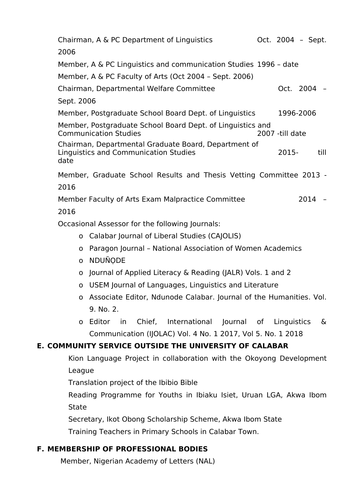| Chairman, A & PC Department of Linguistics                                                            |  | Oct. 2004 - Sept. |             |      |  |  |  |
|-------------------------------------------------------------------------------------------------------|--|-------------------|-------------|------|--|--|--|
| 2006                                                                                                  |  |                   |             |      |  |  |  |
| Member, A & PC Linguistics and communication Studies 1996 - date                                      |  |                   |             |      |  |  |  |
| Member, A & PC Faculty of Arts (Oct 2004 - Sept. 2006)                                                |  |                   |             |      |  |  |  |
| Chairman, Departmental Welfare Committee                                                              |  |                   | Oct. 2004 - |      |  |  |  |
| Sept. 2006                                                                                            |  |                   |             |      |  |  |  |
| Member, Postgraduate School Board Dept. of Linguistics                                                |  |                   | 1996-2006   |      |  |  |  |
| Member, Postgraduate School Board Dept. of Linguistics and<br><b>Communication Studies</b>            |  | 2007 -till date   |             |      |  |  |  |
| Chairman, Departmental Graduate Board, Department of<br>Linguistics and Communication Studies<br>date |  | 2015-             |             | till |  |  |  |
| Member, Graduate School Results and Thesis Vetting Committee 2013 -                                   |  |                   |             |      |  |  |  |
| 2016                                                                                                  |  |                   |             |      |  |  |  |
| Member Faculty of Arts Exam Malpractice Committee                                                     |  |                   | $2014 -$    |      |  |  |  |
| 2016                                                                                                  |  |                   |             |      |  |  |  |
| Occasional Assossor for the following Journals:                                                       |  |                   |             |      |  |  |  |

Occasional Assessor for the following Journals:

- o Calabar Journal of Liberal Studies (CAJOLIS)
- o Paragon Journal National Association of Women Academics
- o NDUÑODE
- o Journal of Applied Literacy & Reading (JALR) Vols.1 and 2
- o USEM Journal of Languages, Linguistics and Literature
- o Associate Editor, Ndunode Calabar. Journal of the Humanities. Vol. 9. No. 2.
- o Editor in Chief, International Journal of Linguistics & Communication (IJOLAC) Vol. 4 No. 1 2017, Vol 5. No. 1 2018

# **E. COMMUNITY SERVICE OUTSIDE THE UNIVERSITY OF CALABAR**

Kion Language Project in collaboration with the Okoyong Development League

Translation project of the Ibibio Bible

Reading Programme for Youths in Ibiaku Isiet, Uruan LGA, Akwa Ibom State

Secretary, Ikot Obong Scholarship Scheme, Akwa Ibom State

Training Teachers in Primary Schools in Calabar Town.

# **F. MEMBERSHIP OF PROFESSIONAL BODIES**

Member, Nigerian Academy of Letters (NAL)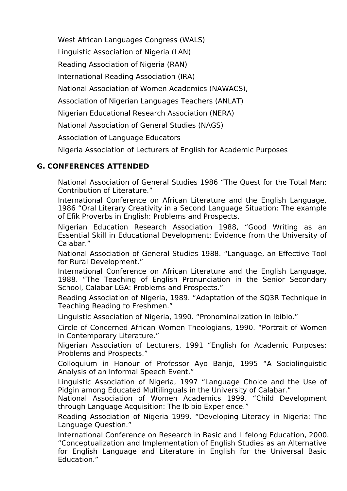West African Languages Congress (WALS)

Linguistic Association of Nigeria (LAN)

Reading Association of Nigeria (RAN)

International Reading Association (IRA)

National Association of Women Academics (NAWACS),

Association of Nigerian Languages Teachers (ANLAT)

Nigerian Educational Research Association (NERA)

National Association of General Studies (NAGS)

Association of Language Educators

Nigeria Association of Lecturers of English for Academic Purposes

# **G. CONFERENCES ATTENDED**

National Association of General Studies 1986 "The Quest for the Total Man: Contribution of Literature."

International Conference on African Literature and the English Language, 1986 "Oral Literary Creativity in a Second Language Situation: The example of Efik Proverbs in English: Problems and Prospects.

Nigerian Education Research Association 1988, "Good Writing as an Essential Skill in Educational Development: Evidence from the University of Calabar."

National Association of General Studies 1988. "Language, an Effective Tool for Rural Development."

International Conference on African Literature and the English Language, 1988. "The Teaching of English Pronunciation in the Senior Secondary School, Calabar LGA: Problems and Prospects."

Reading Association of Nigeria, 1989. "Adaptation of the SQ3R Technique in Teaching Reading to Freshmen."

Linguistic Association of Nigeria, 1990. "Pronominalization in Ibibio."

Circle of Concerned African Women Theologians, 1990. "Portrait of Women in Contemporary Literature."

Nigerian Association of Lecturers, 1991 "English for Academic Purposes: Problems and Prospects."

Colloquium in Honour of Professor Ayo Banjo, 1995 "A Sociolinguistic Analysis of an Informal Speech Event."

Linguistic Association of Nigeria,1997 "Language Choice and the Use of Pidgin among Educated Multilinguals in the University of Calabar."

National Association of Women Academics 1999. "Child Development through Language Acquisition: The Ibibio Experience."

Reading Association of Nigeria 1999. "Developing Literacy in Nigeria: The Language Question."

International Conference on Research in Basic and Lifelong Education, 2000. "Conceptualization and Implementation of English Studies as an Alternative for English Language and Literature in English for the Universal Basic Education."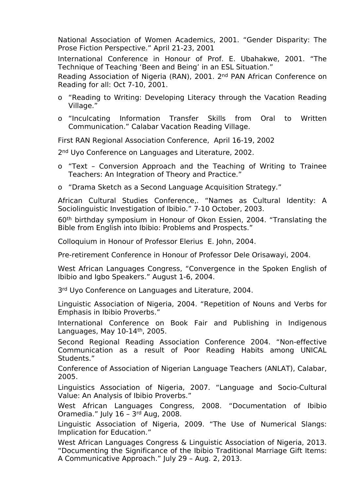National Association of Women Academics, 2001. "Gender Disparity: The Prose Fiction Perspective." April 21-23, 2001

International Conference in Honour of Prof. E. Ubahakwe, 2001. "The Technique of Teaching 'Been and Being' in an ESL Situation."

Reading Association of Nigeria (RAN), 2001. 2nd PAN African Conference on Reading for all: Oct 7-10, 2001.

- o "Reading to Writing: Developing Literacy through the Vacation Reading Village."
- o "Inculcating Information Transfer Skills from Oral to Written Communication." Calabar Vacation Reading Village.

First RAN Regional Association Conference, April 16-19, 2002

2<sup>nd</sup> Uyo Conference on Languages and Literature, 2002.

- o "Text Conversion Approach and the Teaching of Writing to Trainee Teachers: An Integration of Theory and Practice."
- o "Drama Sketch as a Second Language Acquisition Strategy."

African Cultural Studies Conference,. "Names as Cultural Identity: A Sociolinguistic Investigation of Ibibio." 7-10 October, 2003.

60th birthday symposium in Honour of Okon Essien, 2004. "Translating the Bible from English into Ibibio: Problems and Prospects."

Colloquium in Honour of Professor Elerius E. John, 2004.

Pre-retirement Conference in Honour of Professor Dele Orisawayi, 2004.

West African Languages Congress, "Convergence in the Spoken English of Ibibio and Igbo Speakers." August 1-6, 2004.

3rd Uyo Conference on Languages and Literature, 2004.

Linguistic Association of Nigeria, 2004. "Repetition of Nouns and Verbs for Emphasis in Ibibio Proverbs."

International Conference on Book Fair and Publishing in Indigenous Languages, May 10-14th, 2005.

Second Regional Reading Association Conference 2004. "Non-effective Communication as a result of Poor Reading Habits among UNICAL Students."

Conference of Association of Nigerian Language Teachers (ANLAT), Calabar, 2005.

Linguistics Association of Nigeria, 2007. "Language and Socio-Cultural Value: An Analysis of Ibibio Proverbs."

West African Languages Congress, 2008. "Documentation of Ibibio Oramedia." July 16 – 3rd Aug, 2008.

Linguistic Association of Nigeria, 2009. "The Use of Numerical Slangs: Implication for Education."

West African Languages Congress & Linguistic Association of Nigeria, 2013. "Documenting the Significance of the Ibibio Traditional Marriage Gift Items: A Communicative Approach." July 29 – Aug. 2, 2013.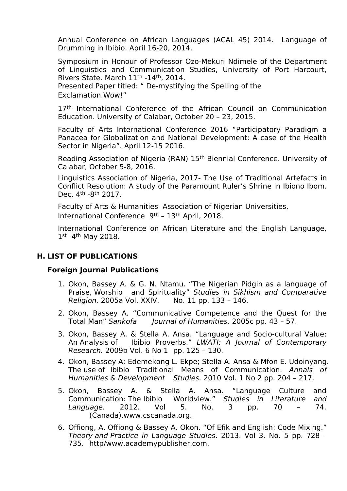Annual Conference on African Languages (ACAL 45) 2014. Language of Drumming in Ibibio. April 16-20, 2014.

Symposium in Honour of Professor Ozo-Mekuri Ndimele of the Department of Linguistics and Communication Studies, University of Port Harcourt, Rivers State. March 11th -14th, 2014.

Presented Paper titled: " De-mystifying the Spelling of the Exclamation.Wow!"

17<sup>th</sup> International Conference of the African Council on Communication Education. University of Calabar, October 20 – 23, 2015.

Faculty of Arts International Conference 2016 "Participatory Paradigm a Panacea for Globalization and National Development: A case of the Health Sector in Nigeria". April 12-15 2016.

Reading Association of Nigeria (RAN) 15th Biennial Conference. University of Calabar, October 5-8, 2016.

Linguistics Association of Nigeria, 2017- The Use of Traditional Artefacts in Conflict Resolution: A study of the Paramount Ruler's Shrine in Ibiono Ibom. Dec. 4th -8th 2017.

Faculty of Arts & Humanities Association of Nigerian Universities, International Conference 9th – 13th April, 2018.

International Conference on African Literature and the English Language, 1st -4<sup>th</sup> May 2018.

#### **H. LIST OF PUBLICATIONS**

#### **Foreign Journal Publications**

- 1. Okon, Bassey A. & G. N. Ntamu. "The Nigerian Pidgin as a language of Praise, Worship and Spirituality" *Studies in Sikhism and Comparative Religion.* 2005a Vol. XXIV. No. 11 pp. 133 – 146.
- 2. Okon, Bassey A. "Communicative Competence and the Quest for the Total Man" Sankofa Journal of Humanities. 2005c pp. 43 57. *Journal of Humanities.* 2005c pp. 43 - 57.
- 3. Okon, Bassey A. & Stella A. Ansa. "Language and Socio-cultural Value: An Analysis of Ibibio Proverbs." *LWATI: A Journal of Contemporary Research.* 2009b Vol. 6 No 1 pp. 125 – 130.
- 4. Okon, Bassey A; Edemekong L. Ekpe; Stella A. Ansa & Mfon E. Udoinyang. The use of Ibibio Traditional Means of Communication. *Annals of Humanities & Development Studies.* 2010 Vol. 1 No 2 pp. 204 – 217.
- 5. Okon, Bassey A. & Stella A. Ansa. "Language Culture and<br>Communication: The Ibibio Worldview." Studies in Literature and Communication: The Ibibio Worldview." *Studies in Literature and Language.* 2012. Vol 5. No. 3 pp. 70 – 74. (Canada).www.cscanada.org.
- 6. Offiong, A. Offiong & Bassey A. Okon. "Of Efik and English: Code Mixing." *Theory and Practice in Language Studies*. 2013. Vol 3. No. 5 pp. 728 – 735. http/www.academypublisher.com.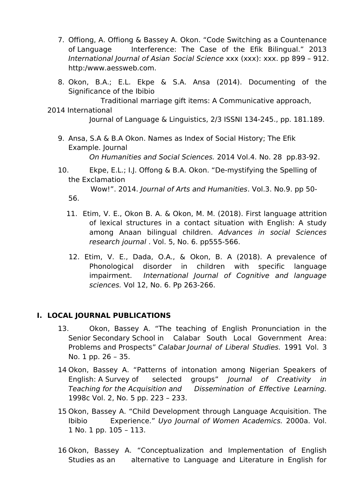- 7. Offiong, A. Offiong & Bassey A. Okon. "Code Switching as a Countenance of Language Interference: The Case of the Efik Bilingual." 2013 *International Journal of Asian Social Science* xxx (xxx): xxx. pp 899 – 912. http:/www.aessweb.com.
- 8. Okon, B.A.; E.L. Ekpe & S.A. Ansa (2014). Documenting of the Significance of the Ibibio
	- Traditional marriage gift items: A Communicative approach,
- 2014 International Journal of Language & Linguistics, 2/3 ISSNI 134-245., pp. 181.189.
	- 9. Ansa, S.A & B.A Okon. Names as Index of Social History; The Efik Example. Journal *On Humanities and Social Sciences.* 2014 Vol.4. No. 28 pp.83-92.
	- 10. Ekpe, E.L.; I.J. Offong & B.A. Okon. "De-mystifying the Spelling of the Exclamation

Wow!". 2014. *Journal of Arts and Humanities*. Vol.3. No.9. pp 50- 56.

- 11. Etim, V. E., Okon B. A. & Okon, M. M. (2018). First language attrition of lexical structures in a contact situation with English: A study among Anaan bilingual children. *Advances in social Sciences research journal* . Vol. 5, No. 6. pp555-566.
- 12. Etim, V. E., Dada, O.A., & Okon, B. A (2018). A prevalence of Phonological disorder in children with specific language impairment. *International Journal of Cognitive and language sciences.* Vol 12, No. 6. Pp 263-266.

## **I. LOCAL JOURNAL PUBLICATIONS**

- 13. Okon, Bassey A. "The teaching of English Pronunciation in the Senior Secondary School in Calabar South Local Government Area: Problems and Prospects" *Calabar Journal of Liberal Studies.* 1991 Vol. 3 No. 1 pp. 26 – 35.
- 14 Okon, Bassey A. "Patterns of intonation among Nigerian Speakers of English: A Survey of selected groups" *Journal of Creativity in Teaching for the Acquisition and Dissemination of Effective Learning.* 1998c Vol. 2, No. 5 pp. 223 – 233.
- 15 Okon, Bassey A. "Child Development through Language Acquisition. The Ibibio Experience." *Uyo Journal of Women Academics.* 2000a. Vol. 1 No. 1 pp. 105 – 113.
- 16 Okon, Bassey A. "Conceptualization and Implementation of English Studies as an alternative to Language and Literature in English for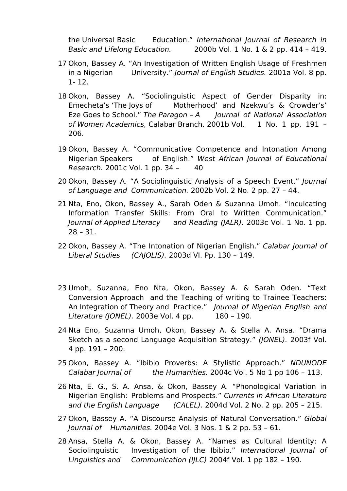the Universal Basic Education." *International Journal of Research in Basic and Lifelong Education.* 2000b Vol. 1 No. 1 & 2 pp. 414 – 419.

- 17 Okon, Bassey A. "An Investigation of Written English Usage of Freshmen in a Nigerian University." *Journal of English Studies.* 2001a Vol. 8 pp.  $1 - 12$
- 18 Okon, Bassey A. "Sociolinguistic Aspect of Gender Disparity in: Emecheta's 'The Joys of Motherhood' and Nzekwu's & Crowder's' Eze Goes to School." *The Paragon – A Journal of National Association of Women Academics,*Calabar Branch. 2001b Vol. 1 No. 1 pp. 191 – 206.
- 19 Okon, Bassey A. "Communicative Competence and Intonation Among Nigerian Speakers of English." *West African Journal of Educational Research.* 2001c Vol. 1 pp. 34 - 40
- 20 Okon, Bassey A. "A Sociolinguistic Analysis of a Speech Event." *Journal of Language and Communication.* 2002b Vol. 2 No. 2 pp. 27 – 44.
- 21 Nta, Eno, Okon, Bassey A., Sarah Oden & Suzanna Umoh. "Inculcating Information Transfer Skills: From Oral to Written Communication." *Journal of Applied Literacy and Reading (JALR).* 2003c Vol. 1 No. 1 pp. 28 – 31.
- 22 Okon, Bassey A. "The Intonation of Nigerian English." *Calabar Journal of Liberal Studies (CAJOLIS).* 2003d VI. Pp. 130 – 149.
- 23 Umoh, Suzanna, Eno Nta, Okon, Bassey A. & Sarah Oden. "Text Conversion Approach and the Teaching of writing to Trainee Teachers: An Integration of Theory and Practice." *Journal of Nigerian English and Literature (JONEL).* 2003e Vol. 4 pp. 180 – 190.
- 24 Nta Eno, Suzanna Umoh, Okon, Bassey A. & Stella A. Ansa. "Drama Sketch as a second Language Acquisition Strategy." *(JONEL).* 2003f Vol. 4 pp. 191 – 200.
- 25 Okon, Bassey A. "Ibibio Proverbs: A Stylistic Approach." *NDUNODE Calabar Journal of the Humanities.* 2004c Vol. 5 No 1 pp 106 – 113.
- 26 Nta, E. G., S. A. Ansa, & Okon, Bassey A. "Phonological Variation in Nigerian English: Problems and Prospects." *Currents in African Literature and the English Language (CALEL).* 2004d Vol. 2 No. 2 pp. 205 – 215.
- 27 Okon, Bassey A. "A Discourse Analysis of Natural Conversation." *Global Journal of Humanities.* 2004e Vol. 3 Nos. 1 & 2 pp. 53 – 61.
- 28 Ansa, Stella A. & Okon, Bassey A. "Names as Cultural Identity: A Sociolinguistic Investigation of the Ibibio." *International Journal of Linguistics and Communication (IJLC)* 2004f Vol. 1 pp 182 – 190.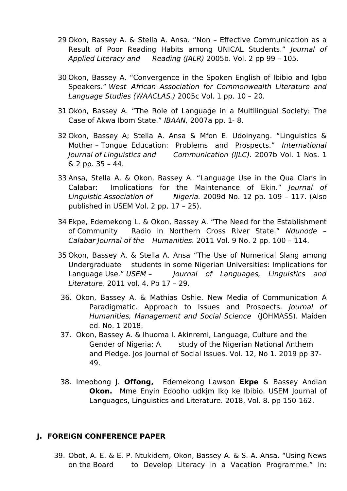- 29 Okon, Bassey A. & Stella A. Ansa. "Non Effective Communication as a Result of Poor Reading Habits among UNICAL Students." *Journal of Applied Literacy and Reading (JALR)* 2005b. Vol. 2 pp 99 – 105.
- 30 Okon, Bassey A. "Convergence in the Spoken English of Ibibio and Igbo Speakers." *West African Association for Commonwealth Literature and Language Studies (WAACLAS.)* 2005c Vol. 1 pp. 10 – 20.
- 31 Okon, Bassey A. "The Role of Language in a Multilingual Society: The Case of Akwa Ibom State." *IBAAN,* 2007a pp. 1- 8.
- 32 Okon, Bassey A; Stella A. Ansa & Mfon E. Udoinyang. "Linguistics & Mother – Tongue Education: Problems and Prospects." *International Journal of Linguistics and Communication (IJLC).* 2007b Vol. 1 Nos.1 & 2 pp. 35 –44.
- 33 Ansa, Stella A. & Okon, Bassey A. "Language Use in the Qua Clans in Calabar: Implications for the Maintenance of Ekin." *Journal of Linguistic Association of Nigeria.* 2009d No. 12 pp. 109 – 117. (Also published in USEM Vol. 2 pp. 17 – 25).
- 34 Ekpe, Edemekong L. & Okon, Bassey A. "The Need for the Establishment of Community Radio in Northern Cross River State." *Ndunode – Calabar Journal of the Humanities.* 2011 Vol. 9 No. 2 pp. 100 – 114.
- 35 Okon, Bassey A. & Stella A. Ansa "The Use of Numerical Slang among Undergraduate students in some Nigerian Universities: Implications for Language Use." *USEM – Journal of Languages, Linguistics and Literature*. 2011 vol. 4. Pp 17 – 29.
- 36. Okon, Bassey A. & Mathias Oshie. New Media of Communication A Paradigmatic. Approach to Issues and Prospects. *Journal of Humanities, Management and Social Science* (JOHMASS). Maiden ed. No. 1 2018.
- 37. Okon, Bassey A. & Ihuoma I. Akinremi, Language, Culture and the Gender of Nigeria: A study of the Nigerian National Anthem and Pledge. Jos Journal of Social Issues. Vol. 12, No 1. 2019 pp 37- 49.
- 38. Imeobong J. **Offong,** Edemekong Lawson **Ekpe** & Bassey Andian **Okon.** Mme Enyin Edooho udkịm Ikọ ke Ibibio. USEM Journal of Languages, Linguistics and Literature. 2018, Vol. 8. pp 150-162.

#### **J. FOREIGN CONFERENCE PAPER**

39. Obot, A. E. & E. P. Ntukidem, Okon, Bassey A. & S. A. Ansa. "Using News on the Board to Develop Literacy in a Vacation Programme." In: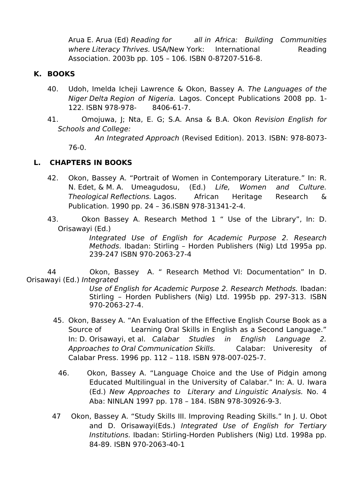Arua E. Arua (Ed) *Reading for all in Africa: Building Communities where Literacy Thrives.* USA/New York: International Reading Association. 2003b pp. 105 – 106. ISBN 0-87207-516-8.

#### **K. BOOKS**

- 40. Udoh, Imelda Icheji Lawrence & Okon, Bassey A.*The Languages of the Niger Delta Region of Nigeria.* Lagos. Concept Publications 2008 pp. 1- 122. ISBN 978-978- 8406-61-7.
- 41. Omojuwa, J; Nta, E. G; S.A. Ansa & B.A. Okon *Revision English for Schools and College:*

*An Integrated Approach* (Revised Edition). 2013. ISBN: 978-8073- 76-0.

## **L. CHAPTERS IN BOOKS**

- 42. Okon, Bassey A. "Portrait of Women in Contemporary Literature." In: R. N. Edet, & M. A. Umeagudosu, (Ed.) *Life, Women and Culture. Theological Reflections.* Lagos. African Heritage Research & Publication. 1990 pp. 24 – 36.ISBN 978-31341-2-4.
- 43. Okon Bassey A. Research Method 1 " Use of the Library", In: D. Orisawayi (Ed.)

*Integrated Use of English for Academic Purpose 2. Research Methods.* Ibadan: Stirling – Horden Publishers (Nig) Ltd 1995a pp. 239-247 ISBN 970-2063-27-4

44 Okon, Bassey A. " Research Method VI: Documentation" In D. Orisawayi (Ed.) *Integrated*

> *Use of English for Academic Purpose 2. Research Methods.* Ibadan: Stirling – Horden Publishers (Nig) Ltd. 1995b pp. 297-313. ISBN 970-2063-27-4.

- 45. Okon, Bassey A. "An Evaluation of the Effective English Course Book as a Source of Learning Oral Skills in English as a Second Language." In: D. Orisawayi, et al. *Calabar Studies in English Language 2. Approaches to Oral Communication Skills.* Calabar: Univeresity of Calabar Press. 1996 pp. 112 – 118. ISBN 978-007-025-7.
	- 46. Okon, Bassey A. "Language Choice and the Use of Pidgin among Educated Multilingual in the University of Calabar." In: A. U. Iwara (Ed.) *New Approaches to Literary and Linguistic Analysis.* No. 4 Aba: NINLAN 1997 pp. 178 – 184. ISBN 978-30926-9-3.
- 47 Okon, Bassey A. "Study Skills III. Improving Reading Skills." In J.U. Obot and D. Orisawayi(Eds.) *Integrated Use of English for Tertiary Institutions.* Ibadan: Stirling-Horden Publishers (Nig) Ltd. 1998a pp. 84-89. ISBN 970-2063-40-1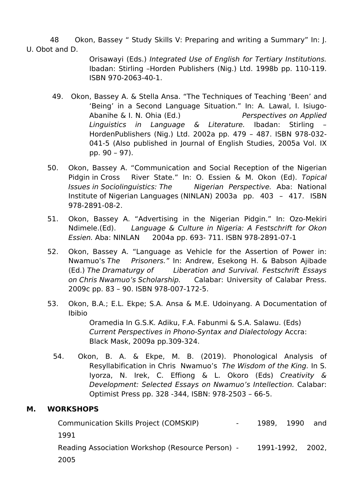48 Okon, Bassey " Study Skills V: Preparing and writing a Summary" In: J. U. Obot and D.

> Orisawayi (Eds.) *Integrated Use of English for Tertiary Institutions.* Ibadan: Stirling –Horden Publishers (Nig.) Ltd. 1998b pp. 110-119. ISBN 970-2063-40-1.

- 49. Okon, Bassey A. & Stella Ansa. "The Techniques of Teaching 'Been' and 'Being' in a Second Language Situation." In: A. Lawal, I. Isiugo- Abanihe & I. N. Ohia (Ed.) *Perspectives on Applied Linguistics in Language & Literature.* Ibadan: Stirling – HordenPublishers (Nig.) Ltd. 2002a pp. 479 – 487. ISBN 978-032- 041-5 (Also published in Journal of English Studies, 2005a Vol. IX pp. 90 – 97).
- 50. Okon, Bassey A. "Communication and Social Reception of the Nigerian Pidgin in Cross River State." In: O. Essien & M. Okon (Ed). *Topical Issues in Sociolinguistics: The Nigerian Perspective.* Aba: National Institute of Nigerian Languages (NINLAN) 2003a pp. 403 – 417. ISBN 978-2891-08-2.
- 51. Okon, Bassey A. "Advertising in the Nigerian Pidgin." In: Ozo-Mekiri Ndimele.(Ed). *Language & Culture in Nigeria: A Festschrift for Okon Essien.* Aba: NINLAN 2004a pp. 693- 711. ISBN 978-2891-07-1
- 52. Okon, Bassey A. "Language as Vehicle for the Assertion of Power in: Nwamuo's *The Prisoners."* In: Andrew, Esekong H. & Babson Ajibade (Ed.) *The Dramaturgy of Liberation and Survival. Festschrift Essays on Chris Nwamuo's Scholarship.* Calabar: University of Calabar Press. 2009c pp. 83 – 90. ISBN 978-007-172-5.
- 53. Okon, B.A.; E.L. Ekpe; S.A. Ansa & M.E. Udoinyang. A Documentation of Ibibio

Oramedia In G.S.K. Adiku, F.A. Fabunmi & S.A. Salawu. (Eds) *Current Perspectives in Phono-Syntax and Dialectology* Accra: Black Mask, 2009a pp.309-324.

54. Okon, B. A. & Ekpe, M. B. (2019). Phonological Analysis of Resyllabification in Chris Nwamuo's *The Wisdom of the King.* In S. Iyorza, N. Irek, C. Effiong & L. Okoro (Eds) *Creativity & Development: Selected Essays on Nwamuo's Intellection.* Calabar: Optimist Press pp. 328 -344, ISBN: 978-2503 – 66-5.

## **M. WORKSHOPS**

Communication Skills Project (COMSKIP) - 1989, 1990 and 1991 Reading Association Workshop (Resource Person) - 1991-1992, 2002, 2005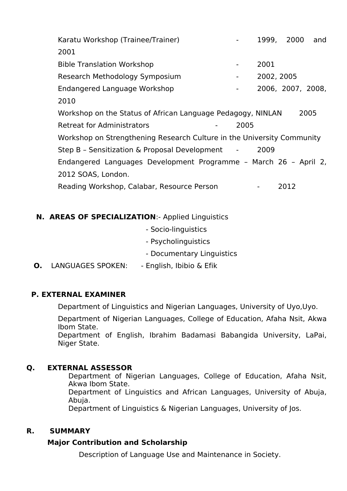Karatu Workshop (Trainee/Trainer) **1999, 2000** and 2001 Bible Translation Workshop - 2001 Research Methodology Symposium - 2002, 2005 Endangered Language Workshop - 2006, 2007, 2008, 2010 Workshop on the Status of African Language Pedagogy, NINLAN 2005 Retreat for Administrators - 2005 Workshop on Strengthening Research Culture in the University Community Step B - Sensitization & Proposal Development - 2009 Endangered Languages Development Programme – March 26 – April 2, 2012 SOAS, London. Reading Workshop, Calabar, Resource Person Fig. 1886. 2012

# **N. AREAS OF SPECIALIZATION**:- Applied Linguistics

- Socio-linguistics
- Psycholinguistics
- Documentary Linguistics

## **O.** LANGUAGES SPOKEN: - English, Ibibio & Efik

## **P. EXTERNAL EXAMINER**

Department of Linguistics and Nigerian Languages, University of Uyo,Uyo.

Department of Nigerian Languages, College of Education, Afaha Nsit, Akwa Ibom State. Department of English, Ibrahim Badamasi Babangida University, LaPai,

Niger State.

#### **Q. EXTERNAL ASSESSOR**

Department of Nigerian Languages, College of Education, Afaha Nsit, Akwa Ibom State. Department of Linguistics and African Languages, University of Abuja,<br>Abuja. Department of Linguistics & Nigerian Languages, University of Jos.

#### **R. SUMMARY**

## **Major Contribution and Scholarship**

Description of Language Use and Maintenance in Society.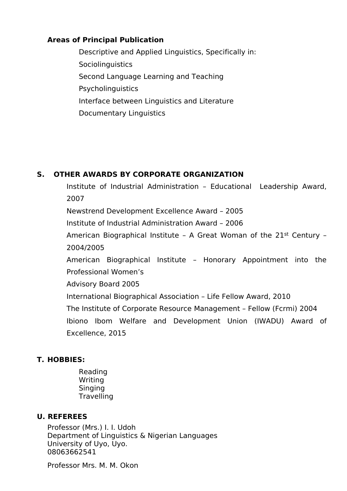## **Areas of Principal Publication**

Descriptive and Applied Linguistics, Specifically in: **Sociolinguistics** Second Language Learning and Teaching Psycholinguistics Interface between Linguistics and Literature Documentary Linguistics

#### **S. OTHER AWARDS BY CORPORATE ORGANIZATION**

Institute of Industrial Administration – Educational Leadership Award, 2007

Newstrend Development Excellence Award – 2005

Institute of Industrial Administration Award – 2006

American Biographical Institute – A Great Woman of the 21st Century – 2004/2005

American Biographical Institute – Honorary Appointment into the Professional Women's

Advisory Board 2005

International Biographical Association – Life Fellow Award, 2010

The Institute of Corporate Resource Management – Fellow (Fcrmi) 2004

Ibiono Ibom Welfare and Development Union (IWADU) Award of Excellence, 2015

## **T. HOBBIES:**

Reading Writing Singing **Travelling** 

#### **U. REFEREES**

Professor (Mrs.) I. I. Udoh Department of Linguistics & Nigerian Languages University of Uyo, Uyo. 08063662541

Professor Mrs. M. M. Okon